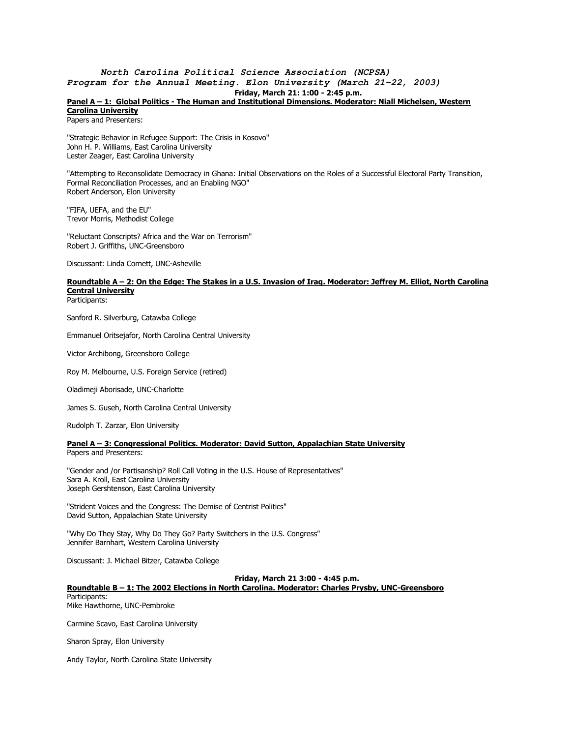#### **North Carolina Political Science Association (NCPSA) Program for the Annual Meeting. Elon University (March 21-22, 2003)** Friday, March 21: 1:00 - 2:45 p.m.

#### Panel A - 1: Global Politics - The Human and Institutional Dimensions. Moderator: Niall Michelsen, Western Carolina University

Papers and Presenters:

"Strategic Behavior in Refugee Support: The Crisis in Kosovo" John H. P. Williams, East Carolina University Lester Zeager, East Carolina University

"Attempting to Reconsolidate Democracy in Ghana: Initial Observations on the Roles of a Successful Electoral Party Transition, Formal Reconciliation Processes, and an Enabling NGO" Robert Anderson, Elon University

"FIFA, UEFA, and the EU" Trevor Morris, Methodist College

"Reluctant Conscripts? Africa and the War on Terrorism" Robert J. Griffiths, UNC-Greensboro

Discussant: Linda Cornett, UNC-Asheville

### Roundtable A – 2: On the Edge: The Stakes in a U.S. Invasion of Iraq. Moderator: Jeffrey M. Elliot, North Carolina **Central University**

Participants:

Sanford R. Silverburg, Catawba College

Emmanuel Oritsejafor, North Carolina Central University

Victor Archibong, Greensboro College

Roy M. Melbourne, U.S. Foreign Service (retired)

Oladimeji Aborisade, UNC-Charlotte

James S. Guseh, North Carolina Central University

Rudolph T. Zarzar, Elon University

#### Panel A - 3: Congressional Politics. Moderator: David Sutton, Appalachian State University

Papers and Presenters:

"Gender and /or Partisanship? Roll Call Voting in the U.S. House of Representatives" Sara A. Kroll, East Carolina University Joseph Gershtenson, East Carolina University

"Strident Voices and the Congress: The Demise of Centrist Politics" David Sutton, Appalachian State University

"Why Do They Stay, Why Do They Go? Party Switchers in the U.S. Congress" Jennifer Barnhart, Western Carolina University

Discussant: J. Michael Bitzer, Catawba College

Friday, March 21 3:00 - 4:45 p.m.

Roundtable B – 1: The 2002 Elections in North Carolina. Moderator: Charles Prysby, UNC-Greensboro Participants: Mike Hawthorne, UNC-Pembroke

Carmine Scavo, East Carolina University

Sharon Spray, Elon University

Andy Taylor, North Carolina State University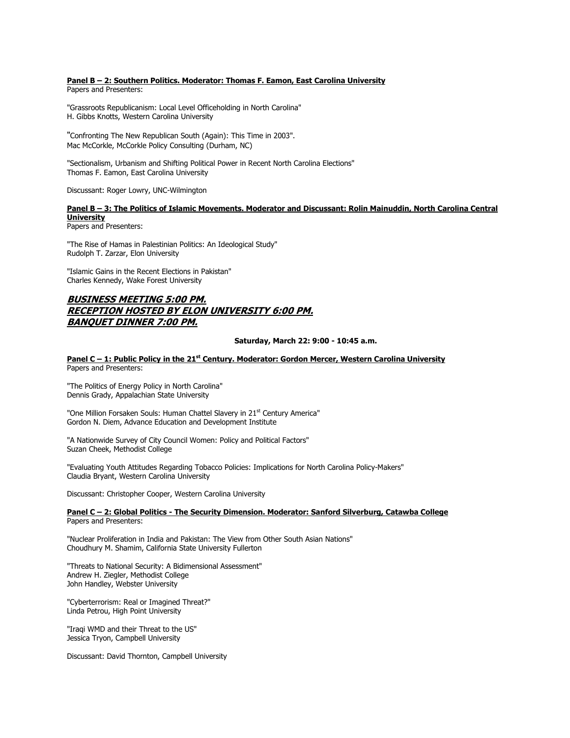#### Panel B - 2: Southern Politics. Moderator: Thomas F. Eamon, East Carolina University

Papers and Presenters:

"Grassroots Republicanism: Local Level Officeholding in North Carolina" H. Gibbs Knotts, Western Carolina University

"Confronting The New Republican South (Again): This Time in 2003". Mac McCorkle, McCorkle Policy Consulting (Durham, NC)

"Sectionalism, Urbanism and Shifting Political Power in Recent North Carolina Elections" Thomas F. Eamon, East Carolina University

Discussant: Roger Lowry, UNC-Wilmington

#### Panel B – 3: The Politics of Islamic Movements. Moderator and Discussant: Rolin Mainuddin, North Carolina Central **University**

Papers and Presenters:

"The Rise of Hamas in Palestinian Politics: An Ideological Study" Rudolph T. Zarzar, Elon University

"Islamic Gains in the Recent Elections in Pakistan" Charles Kennedy, Wake Forest University

### BUSINESS MEETING 5:00 PM. RECEPTION HOSTED BY ELON UNIVERSITY 6:00 PM. BANQUET DINNER 7:00 PM.

#### Saturday, March 22: 9:00 - 10:45 a.m.

#### Panel C - 1: Public Policy in the 21<sup>st</sup> Century. Moderator: Gordon Mercer, Western Carolina University Papers and Presenters:

"The Politics of Energy Policy in North Carolina" Dennis Grady, Appalachian State University

"One Million Forsaken Souls: Human Chattel Slavery in 21<sup>st</sup> Century America" Gordon N. Diem, Advance Education and Development Institute

"A Nationwide Survey of City Council Women: Policy and Political Factors" Suzan Cheek, Methodist College

"Evaluating Youth Attitudes Regarding Tobacco Policies: Implications for North Carolina Policy-Makers" Claudia Bryant, Western Carolina University

Discussant: Christopher Cooper, Western Carolina University

#### Panel C – 2: Global Politics - The Security Dimension. Moderator: Sanford Silverburg, Catawba College Papers and Presenters:

"Nuclear Proliferation in India and Pakistan: The View from Other South Asian Nations" Choudhury M. Shamim, California State University Fullerton

"Threats to National Security: A Bidimensional Assessment" Andrew H. Ziegler, Methodist College John Handley, Webster University

"Cyberterrorism: Real or Imagined Threat?" Linda Petrou, High Point University

"Iraqi WMD and their Threat to the US" Jessica Tryon, Campbell University

Discussant: David Thornton, Campbell University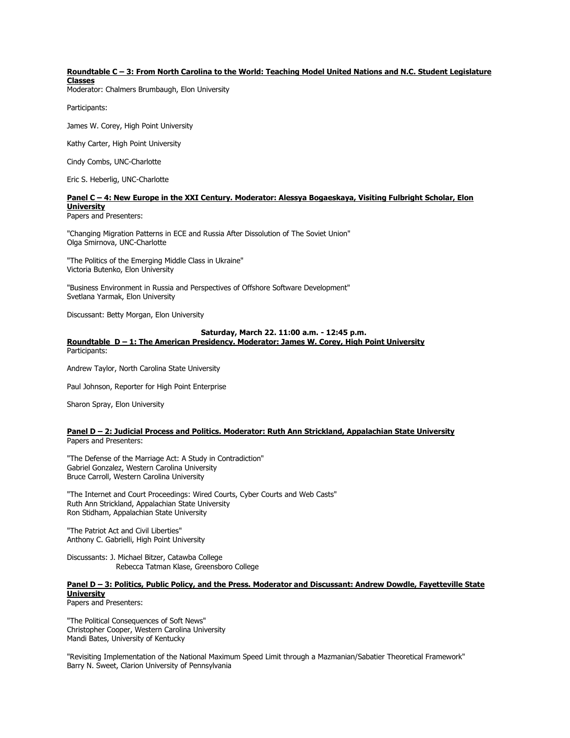#### Roundtable C – 3: From North Carolina to the World: Teaching Model United Nations and N.C. Student Legislature **Classes**

Moderator: Chalmers Brumbaugh, Elon University

Participants:

James W. Corey, High Point University

Kathy Carter, High Point University

Cindy Combs, UNC-Charlotte

Eric S. Heberlig, UNC-Charlotte

#### Panel C – 4: New Europe in the XXI Century. Moderator: Alessya Bogaeskaya, Visiting Fulbright Scholar, Elon **University**

Papers and Presenters:

"Changing Migration Patterns in ECE and Russia After Dissolution of The Soviet Union" Olga Smirnova, UNC-Charlotte

"The Politics of the Emerging Middle Class in Ukraine" Victoria Butenko, Elon University

"Business Environment in Russia and Perspectives of Offshore Software Development" Svetlana Yarmak, Elon University

Discussant: Betty Morgan, Elon University

#### Saturday, March 22. 11:00 a.m. - 12:45 p.m.

#### Roundtable D – 1: The American Presidency. Moderator: James W. Corey, High Point University

Participants:

Andrew Taylor, North Carolina State University

Paul Johnson, Reporter for High Point Enterprise

Sharon Spray, Elon University

#### Panel D - 2: Judicial Process and Politics. Moderator: Ruth Ann Strickland, Appalachian State University Papers and Presenters:

"The Defense of the Marriage Act: A Study in Contradiction" Gabriel Gonzalez, Western Carolina University Bruce Carroll, Western Carolina University

"The Internet and Court Proceedings: Wired Courts, Cyber Courts and Web Casts" Ruth Ann Strickland, Appalachian State University Ron Stidham, Appalachian State University

"The Patriot Act and Civil Liberties" Anthony C. Gabrielli, High Point University

Discussants: J. Michael Bitzer, Catawba College Rebecca Tatman Klase, Greensboro College

#### Panel D – 3: Politics, Public Policy, and the Press. Moderator and Discussant: Andrew Dowdle, Fayetteville State **University**

Papers and Presenters:

"The Political Consequences of Soft News" Christopher Cooper, Western Carolina University Mandi Bates, University of Kentucky

"Revisiting Implementation of the National Maximum Speed Limit through a Mazmanian/Sabatier Theoretical Framework" Barry N. Sweet, Clarion University of Pennsylvania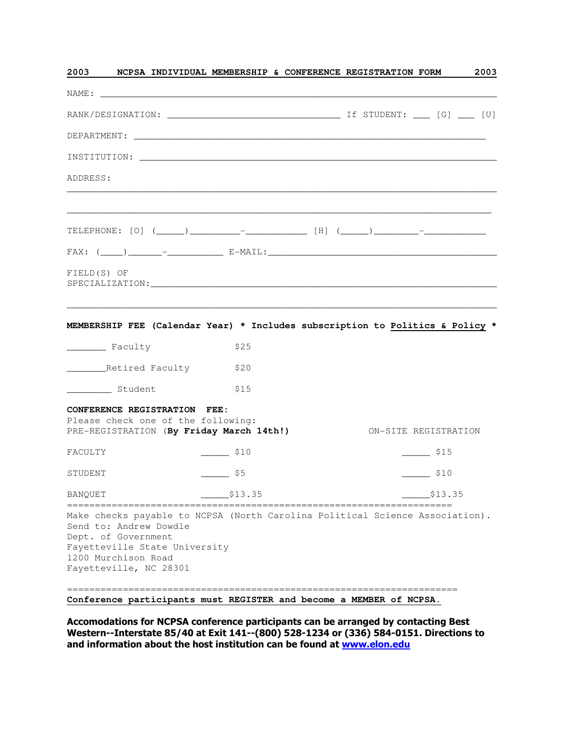|                                                                                                | NAME:   |                                                                                                                                                                                                                               |                                                                                                                                                                                                                                                                                                                                            |
|------------------------------------------------------------------------------------------------|---------|-------------------------------------------------------------------------------------------------------------------------------------------------------------------------------------------------------------------------------|--------------------------------------------------------------------------------------------------------------------------------------------------------------------------------------------------------------------------------------------------------------------------------------------------------------------------------------------|
|                                                                                                |         |                                                                                                                                                                                                                               |                                                                                                                                                                                                                                                                                                                                            |
|                                                                                                |         |                                                                                                                                                                                                                               |                                                                                                                                                                                                                                                                                                                                            |
|                                                                                                |         |                                                                                                                                                                                                                               |                                                                                                                                                                                                                                                                                                                                            |
|                                                                                                |         |                                                                                                                                                                                                                               |                                                                                                                                                                                                                                                                                                                                            |
|                                                                                                |         |                                                                                                                                                                                                                               |                                                                                                                                                                                                                                                                                                                                            |
|                                                                                                |         |                                                                                                                                                                                                                               |                                                                                                                                                                                                                                                                                                                                            |
|                                                                                                |         |                                                                                                                                                                                                                               |                                                                                                                                                                                                                                                                                                                                            |
|                                                                                                |         |                                                                                                                                                                                                                               |                                                                                                                                                                                                                                                                                                                                            |
| FIELD(S) OF                                                                                    |         |                                                                                                                                                                                                                               |                                                                                                                                                                                                                                                                                                                                            |
| Faculty                                                                                        | \$25    |                                                                                                                                                                                                                               |                                                                                                                                                                                                                                                                                                                                            |
| ______________Retired Faculty                                                                  | \$20    |                                                                                                                                                                                                                               |                                                                                                                                                                                                                                                                                                                                            |
| ____________ Student                                                                           | \$15    |                                                                                                                                                                                                                               |                                                                                                                                                                                                                                                                                                                                            |
|                                                                                                |         |                                                                                                                                                                                                                               |                                                                                                                                                                                                                                                                                                                                            |
|                                                                                                |         |                                                                                                                                                                                                                               |                                                                                                                                                                                                                                                                                                                                            |
|                                                                                                |         |                                                                                                                                                                                                                               |                                                                                                                                                                                                                                                                                                                                            |
|                                                                                                | \$13.35 |                                                                                                                                                                                                                               | \$13.35                                                                                                                                                                                                                                                                                                                                    |
| Send to: Andrew Dowdle<br>Dept. of Government<br>1200 Murchison Road<br>Fayetteville, NC 28301 |         |                                                                                                                                                                                                                               |                                                                                                                                                                                                                                                                                                                                            |
|                                                                                                |         | CONFERENCE REGISTRATION FEE:<br>Please check one of the following:<br>PRE-REGISTRATION (By Friday March 14th!)<br>$\frac{\$10}{}$<br>$\frac{1}{2}$ \$5<br>__________________________________<br>Fayetteville State University | MEMBERSHIP FEE (Calendar Year) * Includes subscription to Politics & Policy *<br>ON-SITE REGISTRATION<br>$\frac{\$15}{\$15}$<br>$\frac{\$10}{}$<br>================================<br>Make checks payable to NCPSA (North Carolina Political Science Association).<br>Conference participants must REGISTER and become a MEMBER of NCPSA. |

Accomodations for NCPSA conference participants can be arranged by contacting Best Western--Interstate 85/40 at Exit 141--(800) 528-1234 or (336) 584-0151. Directions to and information about the host institution can be found at www.elon.edu